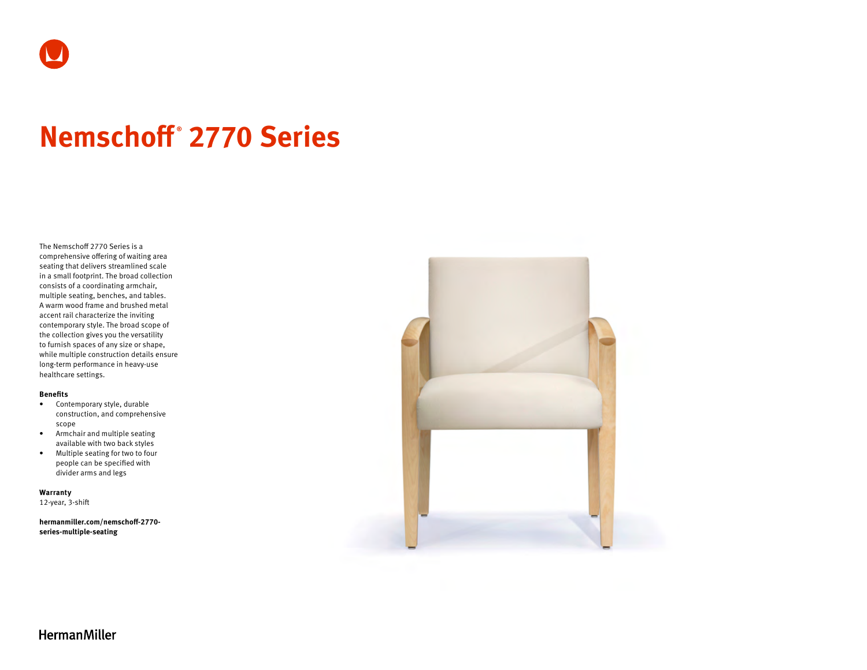

# **Nemschoff ® 2770 Series**

The Nemschoff 2770 Series is a comprehensive offering of waiting area seating that delivers streamlined scale in a small footprint. The broad collection consists of a coordinating armchair, multiple seating, benches, and tables. A warm wood frame and brushed metal accent rail characterize the inviting contemporary style. The broad scope of the collection gives you the versatility to furnish spaces of any size or shape, while multiple construction details ensure long-term performance in heavy-use healthcare settings.

#### **Benefits**

- Contemporary style, durable construction, and comprehensive scope
- Armchair and multiple seating available with two back styles
- Multiple seating for two to four people can be specified with divider arms and legs

**Warranty**  12-year, 3-shift

**[hermanmiller.com/nemschoff-2770](http://hermanmiller.com/nemschoff-2770-series-multiple-seating) [series-multiple-seating](http://hermanmiller.com/nemschoff-2770-series-multiple-seating)**